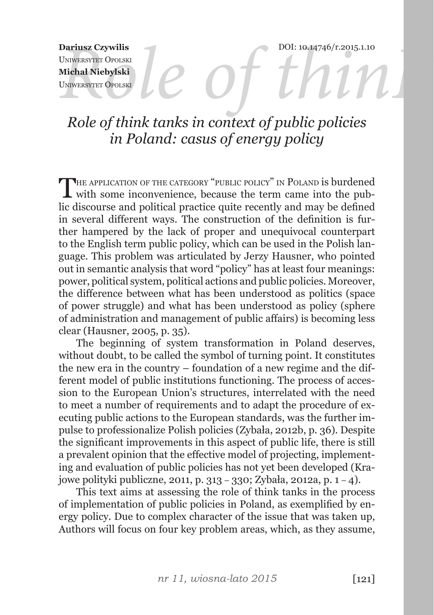DOI: 10.14746/r.2015.1.10

Dariusz Czywilis<br>
UNIWERSYTET OPOLSKI<br>
Michał Niebylski<br>
UNIWERSYTET OPOLSKI<br> **ROLL DARIUS DARIUS DARIUS DARIUS DARIUS DARIUS DARIUS DARIUS DARIUS DARIUS DARIUS DARIUS DARIUS DARIUS DARIUS** Uniwersytet Opolski **Michał Niebylski** Uniwersytet Opolski

# *Role of think tanks in context of public policies in Poland: casus of energy policy*

THE APPLICATION OF THE CATEGORY "PUBLIC POLICY" IN POLAND is burdened<br>with some inconvenience, because the term came into the public discourse and political practice quite recently and may be defined in several different ways. The construction of the definition is further hampered by the lack of proper and unequivocal counterpart to the English term public policy, which can be used in the Polish language. This problem was articulated by Jerzy Hausner, who pointed out in semantic analysis that word "policy" has at least four meanings: power, political system, political actions and public policies. Moreover, the difference between what has been understood as politics (space of power struggle) and what has been understood as policy (sphere of administration and management of public affairs) is becoming less clear (Hausner, 2005, p. 35).

The beginning of system transformation in Poland deserves, without doubt, to be called the symbol of turning point. It constitutes the new era in the country – foundation of a new regime and the different model of public institutions functioning. The process of accession to the European Union's structures, interrelated with the need to meet a number of requirements and to adapt the procedure of executing public actions to the European standards, was the further impulse to professionalize Polish policies (Zybała, 2012b, p. 36). Despite the significant improvements in this aspect of public life, there is still a prevalent opinion that the effective model of projecting, implementing and evaluation of public policies has not yet been developed (Krajowe polityki publiczne, 2011, p. 313 – 330; Zybała, 2012a, p. 1 – 4).

This text aims at assessing the role of think tanks in the process of implementation of public policies in Poland, as exemplified by energy policy. Due to complex character of the issue that was taken up, Authors will focus on four key problem areas, which, as they assume,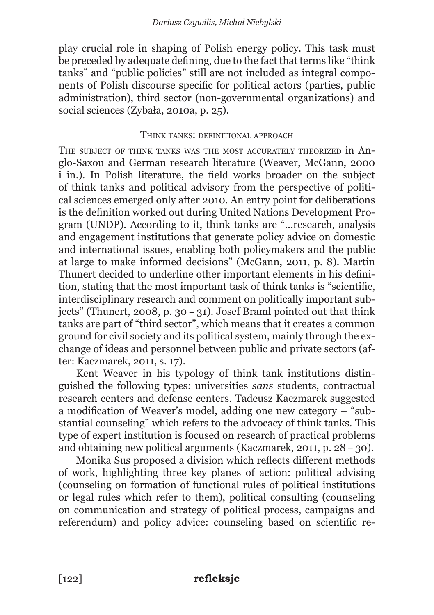play crucial role in shaping of Polish energy policy. This task must be preceded by adequate defining, due to the fact that terms like "think tanks" and "public policies" still are not included as integral components of Polish discourse specific for political actors (parties, public administration), third sector (non-governmental organizations) and social sciences (Zybała, 2010a, p. 25).

### THINK TANKS: DEFINITIONAL APPROACH

The subject of think tanks was the most accurately theorized in Anglo-Saxon and German research literature (Weaver, McGann, 2000 i in.). In Polish literature, the field works broader on the subject of think tanks and political advisory from the perspective of political sciences emerged only after 2010. An entry point for deliberations is the definition worked out during United Nations Development Program (UNDP). According to it, think tanks are "...research, analysis and engagement institutions that generate policy advice on domestic and international issues, enabling both policymakers and the public at large to make informed decisions" (McGann, 2011, p. 8). Martin Thunert decided to underline other important elements in his definition, stating that the most important task of think tanks is "scientific, interdisciplinary research and comment on politically important subjects" (Thunert, 2008, p. 30 – 31). Josef Braml pointed out that think tanks are part of "third sector", which means that it creates a common ground for civil society and its political system, mainly through the exchange of ideas and personnel between public and private sectors (after: Kaczmarek, 2011, s. 17).

Kent Weaver in his typology of think tank institutions distinguished the following types: universities *sans* students, contractual research centers and defense centers. Tadeusz Kaczmarek suggested a modification of Weaver's model, adding one new category – "substantial counseling" which refers to the advocacy of think tanks. This type of expert institution is focused on research of practical problems and obtaining new political arguments (Kaczmarek, 2011, p. 28 – 30).

Monika Sus proposed a division which reflects different methods of work, highlighting three key planes of action: political advising (counseling on formation of functional rules of political institutions or legal rules which refer to them), political consulting (counseling on communication and strategy of political process, campaigns and referendum) and policy advice: counseling based on scientific re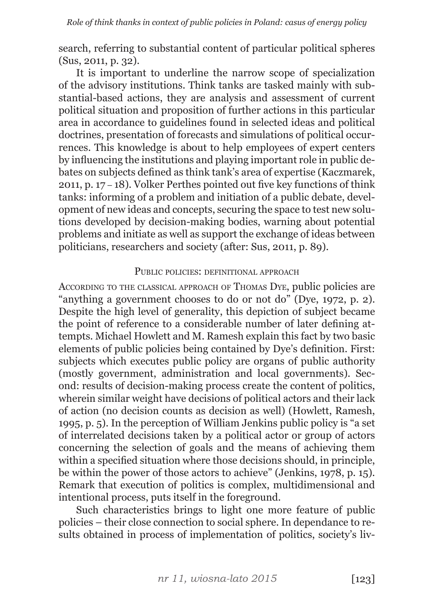search, referring to substantial content of particular political spheres (Sus, 2011, p. 32).

It is important to underline the narrow scope of specialization of the advisory institutions. Think tanks are tasked mainly with substantial-based actions, they are analysis and assessment of current political situation and proposition of further actions in this particular area in accordance to guidelines found in selected ideas and political doctrines, presentation of forecasts and simulations of political occurrences. This knowledge is about to help employees of expert centers by influencing the institutions and playing important role in public debates on subjects defined as think tank's area of expertise (Kaczmarek, 2011, p. 17 – 18). Volker Perthes pointed out five key functions of think tanks: informing of a problem and initiation of a public debate, development of new ideas and concepts, securing the space to test new solutions developed by decision-making bodies, warning about potential problems and initiate as well as support the exchange of ideas between politicians, researchers and society (after: Sus, 2011, p. 89).

#### PUBLIC POLICIES: DEFINITIONAL APPROACH

According to the classical approach of Thomas Dye, public policies are "anything a government chooses to do or not do" (Dye, 1972, p. 2). Despite the high level of generality, this depiction of subject became the point of reference to a considerable number of later defining attempts. Michael Howlett and M. Ramesh explain this fact by two basic elements of public policies being contained by Dye's definition. First: subjects which executes public policy are organs of public authority (mostly government, administration and local governments). Second: results of decision-making process create the content of politics, wherein similar weight have decisions of political actors and their lack of action (no decision counts as decision as well) (Howlett, Ramesh, 1995, p. 5). In the perception of William Jenkins public policy is "a set of interrelated decisions taken by a political actor or group of actors concerning the selection of goals and the means of achieving them within a specified situation where those decisions should, in principle, be within the power of those actors to achieve" (Jenkins, 1978, p. 15). Remark that execution of politics is complex, multidimensional and intentional process, puts itself in the foreground.

Such characteristics brings to light one more feature of public policies – their close connection to social sphere. In dependance to results obtained in process of implementation of politics, society's liv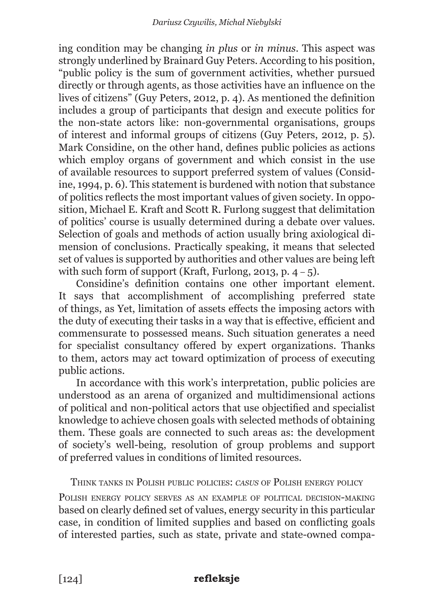ing condition may be changing *in plus* or *in minus*. This aspect was strongly underlined by Brainard Guy Peters. According to his position, "public policy is the sum of government activities, whether pursued directly or through agents, as those activities have an influence on the lives of citizens" (Guy Peters, 2012, p. 4). As mentioned the definition includes a group of participants that design and execute politics for the non-state actors like: non-governmental organisations, groups of interest and informal groups of citizens (Guy Peters, 2012, p. 5). Mark Considine, on the other hand, defines public policies as actions which employ organs of government and which consist in the use of available resources to support preferred system of values (Considine, 1994, p. 6). This statement is burdened with notion that substance of politics reflects the most important values of given society. In opposition, Michael E. Kraft and Scott R. Furlong suggest that delimitation of politics' course is usually determined during a debate over values. Selection of goals and methods of action usually bring axiological dimension of conclusions. Practically speaking, it means that selected set of values is supported by authorities and other values are being left with such form of support (Kraft, Furlong, 2013, p.  $4-5$ ).

Considine's definition contains one other important element. It says that accomplishment of accomplishing preferred state of things, as Yet, limitation of assets effects the imposing actors with the duty of executing their tasks in a way that is effective, efficient and commensurate to possessed means. Such situation generates a need for specialist consultancy offered by expert organizations. Thanks to them, actors may act toward optimization of process of executing public actions.

In accordance with this work's interpretation, public policies are understood as an arena of organized and multidimensional actions of political and non-political actors that use objectified and specialist knowledge to achieve chosen goals with selected methods of obtaining them. These goals are connected to such areas as: the development of society's well-being, resolution of group problems and support of preferred values in conditions of limited resources.

Think tanks in Polish public policies: *casus* of Polish energy policy

Polish energy policy serves as an example of political decision-making based on clearly defined set of values, energy security in this particular case, in condition of limited supplies and based on conflicting goals of interested parties, such as state, private and state-owned compa-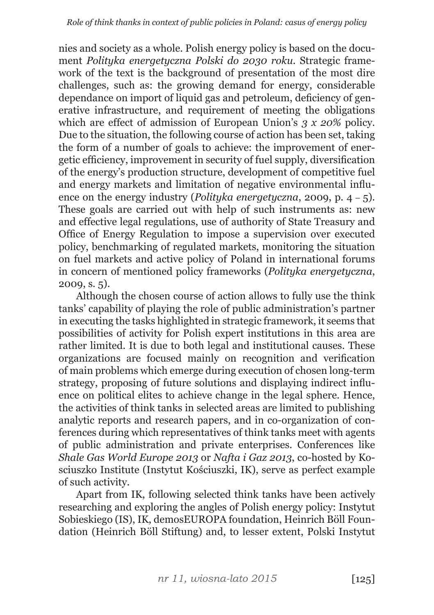nies and society as a whole. Polish energy policy is based on the document *Polityka energetyczna Polski do 2030 roku.* Strategic framework of the text is the background of presentation of the most dire challenges, such as: the growing demand for energy, considerable dependance on import of liquid gas and petroleum, deficiency of generative infrastructure, and requirement of meeting the obligations which are effect of admission of European Union's *3 x 20%* policy. Due to the situation, the following course of action has been set, taking the form of a number of goals to achieve: the improvement of energetic efficiency, improvement in security of fuel supply, diversification of the energy's production structure, development of competitive fuel and energy markets and limitation of negative environmental influence on the energy industry (*Polityka energetyczna*, 2009, p. 4 – 5). These goals are carried out with help of such instruments as: new and effective legal regulations, use of authority of State Treasury and Office of Energy Regulation to impose a supervision over executed policy, benchmarking of regulated markets, monitoring the situation on fuel markets and active policy of Poland in international forums in concern of mentioned policy frameworks (*Polityka energetyczna*, 2009, s. 5).

Although the chosen course of action allows to fully use the think tanks' capability of playing the role of public administration's partner in executing the tasks highlighted in strategic framework, it seems that possibilities of activity for Polish expert institutions in this area are rather limited. It is due to both legal and institutional causes. These organizations are focused mainly on recognition and verification of main problems which emerge during execution of chosen long-term strategy, proposing of future solutions and displaying indirect influence on political elites to achieve change in the legal sphere. Hence, the activities of think tanks in selected areas are limited to publishing analytic reports and research papers, and in co-organization of conferences during which representatives of think tanks meet with agents of public administration and private enterprises. Conferences like *Shale Gas World Europe 2013* or *Nafta i Gaz 2013*, co-hosted by Kosciuszko Institute (Instytut Kościuszki, IK), serve as perfect example of such activity.

Apart from IK, following selected think tanks have been actively researching and exploring the angles of Polish energy policy: Instytut Sobieskiego (IS), IK, demosEUROPA foundation, Heinrich Böll Foundation (Heinrich Böll Stiftung) and, to lesser extent, Polski Instytut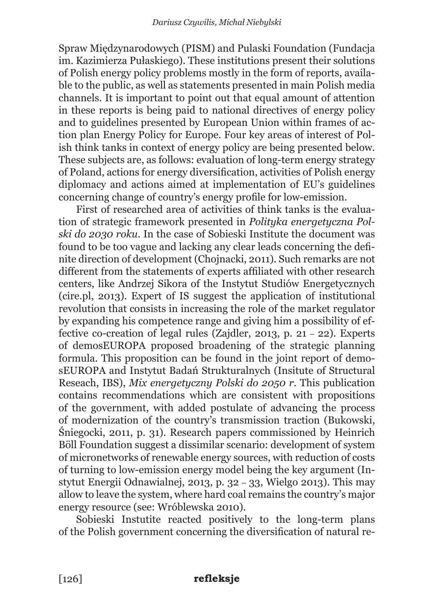Spraw Międzynarodowych (PISM) and Pulaski Foundation (Fundacja im. Kazimierza Pułaskiego). These institutions present their solutions of Polish energy policy problems mostly in the form of reports, available to the public, as well as statements presented in main Polish media channels. It is important to point out that equal amount of attention in these reports is being paid to national directives of energy policy and to guidelines presented by European Union within frames of action plan Energy Policy for Europe. Four key areas of interest of Polish think tanks in context of energy policy are being presented below. These subjects are, as follows: evaluation of long-term energy strategy of Poland, actions for energy diversification, activities of Polish energy diplomacy and actions aimed at implementation of EU's guidelines concerning change of country's energy profile for low-emission.

First of researched area of activities of think tanks is the evaluation of strategic framework presented in *Polityka energetyczna Polski do 2030 roku*. In the case of Sobieski Institute the document was found to be too vague and lacking any clear leads concerning the definite direction of development (Chojnacki, 2011). Such remarks are not different from the statements of experts affiliated with other research centers, like Andrzej Sikora of the Instytut Studiów Energetycznych (cire.pl, 2013). Expert of IS suggest the application of institutional revolution that consists in increasing the role of the market regulator by expanding his competence range and giving him a possibility of effective co-creation of legal rules (Zajdler, 2013, p. 21 – 22). Experts of demosEUROPA proposed broadening of the strategic planning formula. This proposition can be found in the joint report of demosEUROPA and Instytut Badań Strukturalnych (Insitute of Structural Reseach, IBS), *Mix energetyczny Polski do 2050 r.* This publication contains recommendations which are consistent with propositions of the government, with added postulate of advancing the process of modernization of the country's transmission traction (Bukowski, Śniegocki, 2011, p. 31). Research papers commissioned by Heinrich Böll Foundation suggest a dissimilar scenario: development of system of micronetworks of renewable energy sources, with reduction of costs of turning to low-emission energy model being the key argument (Instytut Energii Odnawialnej, 2013, p. 32 – 33, Wielgo 2013). This may allow to leave the system, where hard coal remains the country's major energy resource (see: Wróblewska 2010).

Sobieski Instutite reacted positively to the long-term plans of the Polish government concerning the diversification of natural re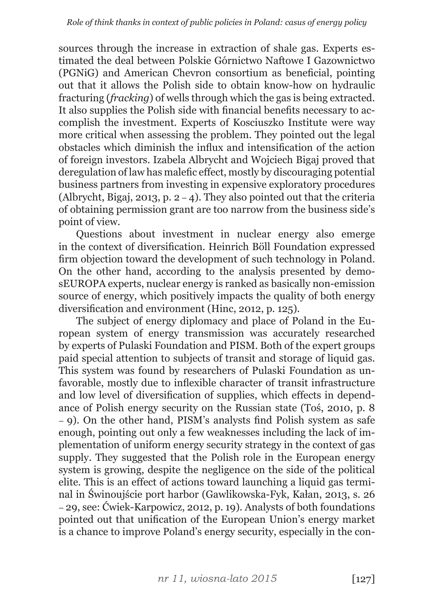sources through the increase in extraction of shale gas. Experts estimated the deal between Polskie Górnictwo Naftowe I Gazownictwo (PGNiG) and American Chevron consortium as beneficial, pointing out that it allows the Polish side to obtain know-how on hydraulic fracturing (*fracking*) of wells through which the gas is being extracted. It also supplies the Polish side with financial benefits necessary to accomplish the investment. Experts of Kosciuszko Institute were way more critical when assessing the problem. They pointed out the legal obstacles which diminish the influx and intensification of the action of foreign investors. Izabela Albrycht and Wojciech Bigaj proved that deregulation of law has malefic effect, mostly by discouraging potential business partners from investing in expensive exploratory procedures (Albrycht, Bigaj, 2013, p.  $2 - 4$ ). They also pointed out that the criteria of obtaining permission grant are too narrow from the business side's point of view.

Questions about investment in nuclear energy also emerge in the context of diversification. Heinrich Böll Foundation expressed firm objection toward the development of such technology in Poland. On the other hand, according to the analysis presented by demosEUROPA experts, nuclear energy is ranked as basically non-emission source of energy, which positively impacts the quality of both energy diversification and environment (Hinc, 2012, p. 125).

The subject of energy diplomacy and place of Poland in the European system of energy transmission was accurately researched by experts of Pulaski Foundation and PISM. Both of the expert groups paid special attention to subjects of transit and storage of liquid gas. This system was found by researchers of Pulaski Foundation as unfavorable, mostly due to inflexible character of transit infrastructure and low level of diversification of supplies, which effects in dependance of Polish energy security on the Russian state (Toś, 2010, p. 8 – 9). On the other hand, PISM's analysts find Polish system as safe enough, pointing out only a few weaknesses including the lack of implementation of uniform energy security strategy in the context of gas supply. They suggested that the Polish role in the European energy system is growing, despite the negligence on the side of the political elite. This is an effect of actions toward launching a liquid gas terminal in Świnoujście port harbor (Gawlikowska-Fyk, Kałan, 2013, s. 26 – 29, see: Ćwiek-Karpowicz, 2012, p. 19). Analysts of both foundations pointed out that unification of the European Union's energy market is a chance to improve Poland's energy security, especially in the con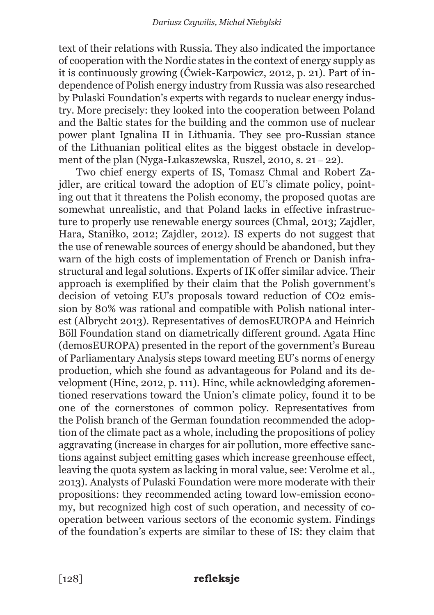text of their relations with Russia. They also indicated the importance of cooperation with the Nordic states in the context of energy supply as it is continuously growing (Ćwiek-Karpowicz, 2012, p. 21). Part of independence of Polish energy industry from Russia was also researched by Pulaski Foundation's experts with regards to nuclear energy industry. More precisely: they looked into the cooperation between Poland and the Baltic states for the building and the common use of nuclear power plant Ignalina II in Lithuania. They see pro-Russian stance of the Lithuanian political elites as the biggest obstacle in development of the plan (Nyga-Łukaszewska, Ruszel, 2010, s. 21 – 22).

Two chief energy experts of IS, Tomasz Chmal and Robert Zajdler, are critical toward the adoption of EU's climate policy, pointing out that it threatens the Polish economy, the proposed quotas are somewhat unrealistic, and that Poland lacks in effective infrastructure to properly use renewable energy sources (Chmal, 2013; Zajdler, Hara, Staniłko, 2012; Zajdler, 2012). IS experts do not suggest that the use of renewable sources of energy should be abandoned, but they warn of the high costs of implementation of French or Danish infrastructural and legal solutions. Experts of IK offer similar advice. Their approach is exemplified by their claim that the Polish government's decision of vetoing EU's proposals toward reduction of CO2 emission by 80% was rational and compatible with Polish national interest (Albrycht 2013). Representatives of demosEUROPA and Heinrich Böll Foundation stand on diametrically different ground. Agata Hinc (demosEUROPA) presented in the report of the government's Bureau of Parliamentary Analysis steps toward meeting EU's norms of energy production, which she found as advantageous for Poland and its development (Hinc, 2012, p. 111). Hinc, while acknowledging aforementioned reservations toward the Union's climate policy, found it to be one of the cornerstones of common policy. Representatives from the Polish branch of the German foundation recommended the adoption of the climate pact as a whole, including the propositions of policy aggravating (increase in charges for air pollution, more effective sanctions against subject emitting gases which increase greenhouse effect, leaving the quota system as lacking in moral value, see: Verolme et al., 2013). Analysts of Pulaski Foundation were more moderate with their propositions: they recommended acting toward low-emission economy, but recognized high cost of such operation, and necessity of cooperation between various sectors of the economic system. Findings of the foundation's experts are similar to these of IS: they claim that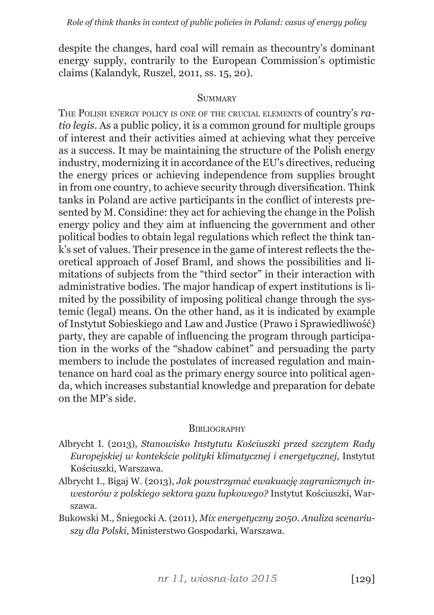despite the changes, hard coal will remain as thecountry's dominant energy supply, contrarily to the European Commission's optimistic claims (Kalandyk, Ruszel, 2011, ss. 15, 20).

#### **SUMMARY**

The Polish energy policy is one of the crucial elements of country's *ratio legis*. As a public policy, it is a common ground for multiple groups of interest and their activities aimed at achieving what they perceive as a success. It may be maintaining the structure of the Polish energy industry, modernizing it in accordance of the EU's directives, reducing the energy prices or achieving independence from supplies brought in from one country, to achieve security through diversification. Think tanks in Poland are active participants in the conflict of interests presented by M. Considine: they act for achieving the change in the Polish energy policy and they aim at influencing the government and other political bodies to obtain legal regulations which reflect the think tank's set of values. Their presence in the game of interest reflects the theoretical approach of Josef Braml, and shows the possibilities and limitations of subjects from the "third sector" in their interaction with administrative bodies. The major handicap of expert institutions is limited by the possibility of imposing political change through the systemic (legal) means. On the other hand, as it is indicated by example of Instytut Sobieskiego and Law and Justice (Prawo i Sprawiedliwość) party, they are capable of influencing the program through participation in the works of the "shadow cabinet" and persuading the party members to include the postulates of increased regulation and maintenance on hard coal as the primary energy source into political agenda, which increases substantial knowledge and preparation for debate on the MP's side.

#### **BIBLIOGRAPHY**

- Albrycht I. (2013), *Stanowisko Instytutu Kościuszki przed szczytem Rady Europejskiej w kontekście polityki klimatycznej i energetycznej*, Instytut Kościuszki, Warszawa.
- Albrycht I., Bigaj W. (2013), *Jak powstrzymać ewakuację zagranicznych inwestorów z polskiego sektora gazu łupkowego?* Instytut Kościuszki, Warszawa.
- Bukowski M., Śniegocki A. (2011), *Mix energetyczny 2050. Analiza scenariuszy dla Polski*, Ministerstwo Gospodarki, Warszawa.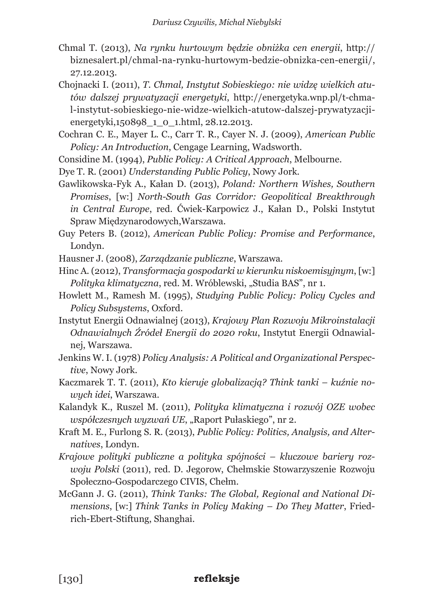- Chmal T. (2013), *Na rynku hurtowym będzie obniżka cen energii*, http:// biznesalert.pl/chmal-na-rynku-hurtowym-bedzie-obnizka-cen-energii/, 27.12.2013.
- Chojnacki I. (2011), *T. Chmal, Instytut Sobieskiego: nie widzę wielkich atutów dalszej prywatyzacji energetyki*, http://energetyka.wnp.pl/t-chmal-instytut-sobieskiego-nie-widze-wielkich-atutow-dalszej-prywatyzacjienergetyki,150898\_1\_0\_1.html, 28.12.2013.
- Cochran C. E., Mayer L. C., Carr T. R., Cayer N. J. (2009), *American Public Policy: An Introduction*, Cengage Learning, Wadsworth.
- Considine M. (1994), *Public Policy: A Critical Approach*, Melbourne.
- Dye T. R. (2001) *Understanding Public Policy*, Nowy Jork.
- Gawlikowska-Fyk A., Kałan D. (2013), *Poland: Northern Wishes, Southern Promises*, [w:] *North-South Gas Corridor: Geopolitical Breakthrough in Central Europe*, red. Ćwiek-Karpowicz J., Kałan D., Polski Instytut Spraw Międzynarodowych,Warszawa.
- Guy Peters B. (2012), *American Public Policy: Promise and Performance*, Londyn.
- Hausner J. (2008), *Zarządzanie publiczne*, Warszawa.
- Hinc A. (2012), *Transformacja gospodarki w kierunku niskoemisyjnym*, [w:] *Polityka klimatyczna*, red. M. Wróblewski, "Studia BAS", nr 1.
- Howlett M., Ramesh M. (1995), *Studying Public Policy: Policy Cycles and Policy Subsystems*, Oxford.
- Instytut Energii Odnawialnej (2013), *Krajowy Plan Rozwoju Mikroinstalacji Odnawialnych Źródeł Energii do 2020 roku*, Instytut Energii Odnawialnej, Warszawa.
- Jenkins W. I. (1978) *Policy Analysis: A Political and Organizational Perspective*, Nowy Jork.
- Kaczmarek T. T. (2011), *Kto kieruje globalizacją? Think tanki kuźnie nowych idei*, Warszawa.
- Kalandyk K., Ruszel M. (2011), *Polityka klimatyczna i rozwój OZE wobec współczesnych wyzwań UE*, "Raport Pułaskiego", nr 2.
- Kraft M. E., Furlong S. R. (2013), *Public Policy: Politics, Analysis, and Alternatives*, Londyn.
- *Krajowe polityki publiczne a polityka spójności kluczowe bariery rozwoju Polski* (2011), red. D. Jegorow, Chełmskie Stowarzyszenie Rozwoju Społeczno-Gospodarczego CIVIS, Chełm.
- McGann J. G. (2011), *Think Tanks: The Global, Regional and National Dimensions*, [w:] *Think Tanks in Policy Making – Do They Matter*, Friedrich-Ebert-Stiftung, Shanghai.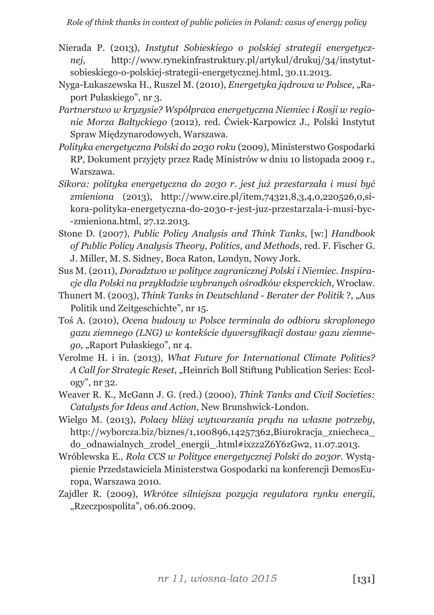- Nierada P. (2013), *Instytut Sobieskiego o polskiej strategii energetycznej*, http://www.rynekinfrastruktury.pl/artykul/drukuj/34/instytutsobieskiego-o-polskiej-strategii-energetycznej.html, 30.11.2013.
- Nyga-Łukaszewska H., Ruszel M. (2010), *Energetyka jądrowa w Polsce*, "Raport Pułaskiego", nr 3.
- *Partnerstwo w kryzysie? Współpraca energetyczna Niemiec i Rosji w regionie Morza Bałtyckiego* (2012), red. Ćwiek-Karpowicz J., Polski Instytut Spraw Międzynarodowych, Warszawa.
- *Polityka energetyczna Polski do 2030 roku* (2009), Ministerstwo Gospodarki RP, Dokument przyjęty przez Radę Ministrów w dniu 10 listopada 2009 r., Warszawa.
- *Sikora: polityka energetyczna do 2030 r. jest już przestarzała i musi być zmieniona* (2013), http://www.cire.pl/item,74321,8,3,4,0,220526,0,sikora-polityka-energetyczna-do-2030-r-jest-juz-przestarzala-i-musi-byc- -zmieniona.html, 27.12.2013.
- Stone D. (2007), *Public Policy Analysis and Think Tanks*, [w:] *Handbook of Public Policy Analysis Theory, Politics, and Methods*, red. F. Fischer G. J. Miller, M. S. Sidney, Boca Raton, Londyn, Nowy Jork.
- Sus M. (2011), *Doradztwo w polityce zagranicznej Polski i Niemiec. Inspiracje dla Polski na przykładzie wybranych ośrodków eksperckich*, Wrocław.
- Thunert M. (2003), *Think Tanks in Deutschland Berater der Politik* ?, "Aus Politik und Zeitgeschichte", nr 15.
- Toś A. (2010), *Ocena budowy w Polsce terminala do odbioru skroplonego gazu ziemnego (LNG) w kontekście dywersyfikacji dostaw gazu ziemnego,* "Raport Pułaskiego", nr 4.
- Verolme H. i in. (2013), *What Future for International Climate Politics? A Call for Strategic Reset*, "Heinrich Boll Stiftung Publication Series: Ecology", nr 32.
- Weaver R. K., McGann J. G. (red.) (2000), *Think Tanks and Civil Societies: Catalysts for Ideas and Action*, New Brunshwick-London.
- Wielgo M. (2013), *Polacy bliżej wytwarzania prądu na własne potrzeby*, http://wyborcza.biz/biznes/1,100896,14257362,Biurokracja\_zniecheca\_ do\_odnawialnych\_zrodel\_energii\_.html#ixzz2Z6Y6zGw2, 11.07.2013.
- Wróblewska E., *Rola CCS w Polityce energetycznej Polski do 2030r.* Wystąpienie Przedstawiciela Ministerstwa Gospodarki na konferencji DemosEuropa, Warszawa 2010.
- Zajdler R. (2009), *Wkrótce silniejsza pozycja regulatora rynku energii*, "Rzeczpospolita", 06.06.2009.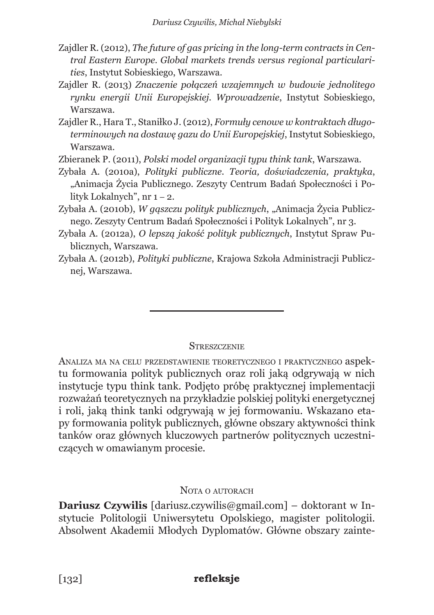- Zajdler R. (2012), *The future of gas pricing in the long-term contracts in Central Eastern Europe. Global markets trends versus regional particularities*, Instytut Sobieskiego, Warszawa.
- Zajdler R. (2013) *Znaczenie połączeń wzajemnych w budowie jednolitego rynku energii Unii Europejskiej. Wprowadzenie*, Instytut Sobieskiego, Warszawa.
- Zajdler R., Hara T., Staniłko J. (2012), *Formuły cenowe w kontraktach długoterminowych na dostawę gazu do Unii Europejskiej*, Instytut Sobieskiego, Warszawa.
- Zbieranek P. (2011), *Polski model organizacji typu think tank*, Warszawa.
- Zybała A. (2010a), *Polityki publiczne. Teoria, doświadczenia, praktyka*, "Animacja Życia Publicznego. Zeszyty Centrum Badań Społeczności i Polityk Lokalnych", nr 1 – 2.
- Zybała A. (2010b), *W gąszczu polityk publicznych*, "Animacja Życia Publicznego. Zeszyty Centrum Badań Społeczności i Polityk Lokalnych", nr 3.
- Zybała A. (2012a), *O lepszą jakość polityk publicznych*, Instytut Spraw Publicznych, Warszawa.
- Zybała A. (2012b), *Polityki publiczne*, Krajowa Szkoła Administracji Publicznej, Warszawa.

## **STRESZCZENIE**

Analiza ma na celu przedstawienie teoretycznego <sup>i</sup> praktycznego aspektu formowania polityk publicznych oraz roli jaką odgrywają w nich instytucje typu think tank. Podjęto próbę praktycznej implementacji rozważań teoretycznych na przykładzie polskiej polityki energetycznej i roli, jaką think tanki odgrywają w jej formowaniu. Wskazano etapy formowania polityk publicznych, główne obszary aktywności think tanków oraz głównych kluczowych partnerów politycznych uczestniczących w omawianym procesie.

## NOTA O AUTORACH

**Dariusz Czywilis** [dariusz.czywilis@gmail.com] – doktorant w Instytucie Politologii Uniwersytetu Opolskiego, magister politologii. Absolwent Akademii Młodych Dyplomatów. Główne obszary zainte